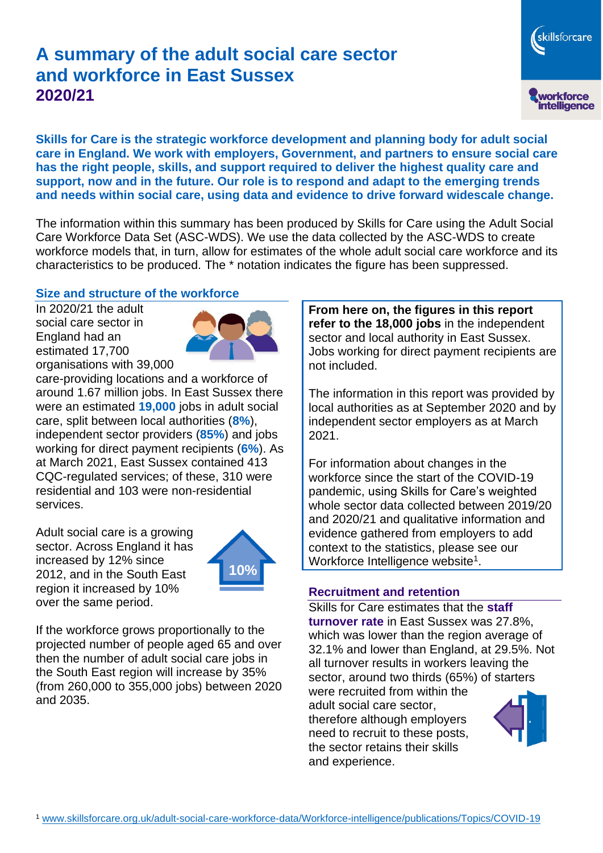# **A summary of the adult social care sector and workforce in East Sussex 2020/21**

**Skills for Care is the strategic workforce development and planning body for adult social care in England. We work with employers, Government, and partners to ensure social care has the right people, skills, and support required to deliver the highest quality care and support, now and in the future. Our role is to respond and adapt to the emerging trends and needs within social care, using data and evidence to drive forward widescale change.**

The information within this summary has been produced by Skills for Care using the Adult Social Care Workforce Data Set (ASC-WDS). We use the data collected by the ASC-WDS to create workforce models that, in turn, allow for estimates of the whole adult social care workforce and its characteristics to be produced. The \* notation indicates the figure has been suppressed.

#### **Size and structure of the workforce**

In 2020/21 the adult social care sector in England had an estimated 17,700 organisations with 39,000



care-providing locations and a workforce of around 1.67 million jobs. In East Sussex there were an estimated **19,000** jobs in adult social care, split between local authorities (**8%**), independent sector providers (**85%**) and jobs working for direct payment recipients (**6%**). As at March 2021, East Sussex contained 413 CQC-regulated services; of these, 310 were residential and 103 were non-residential services.

Adult social care is a growing sector. Across England it has increased by 12% since 2012, and in the South East region it increased by 10% over the same period.



If the workforce grows proportionally to the projected number of people aged 65 and over then the number of adult social care jobs in the South East region will increase by 35% (from 260,000 to 355,000 jobs) between 2020 and 2035.

**From here on, the figures in this report refer to the 18,000 jobs** in the independent sector and local authority in East Sussex. Jobs working for direct payment recipients are not included.

The information in this report was provided by local authorities as at September 2020 and by independent sector employers as at March 2021.

For information about changes in the workforce since the start of the COVID-19 pandemic, using Skills for Care's weighted whole sector data collected between 2019/20 and 2020/21 and qualitative information and evidence gathered from employers to add context to the statistics, please see our Workforce Intelligence website<sup>1</sup>.

#### **Recruitment and retention**

Skills for Care estimates that the **staff turnover rate** in East Sussex was 27.8%, which was lower than the region average of 32.1% and lower than England, at 29.5%. Not all turnover results in workers leaving the sector, around two thirds (65%) of starters

were recruited from within the adult social care sector, therefore although employers need to recruit to these posts, the sector retains their skills and experience.



skillsforcare

workforce<br>intelligence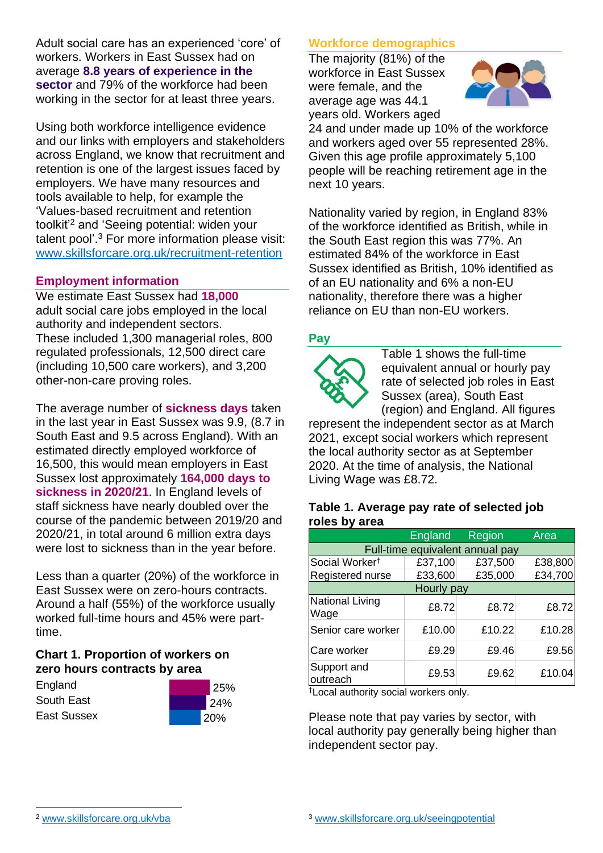Adult social care has an experienced 'core' of workers. Workers in East Sussex had on average **8.8 years of experience in the sector** and 79% of the workforce had been working in the sector for at least three years.

Using both workforce intelligence evidence and our links with employers and stakeholders across England, we know that recruitment and retention is one of the largest issues faced by employers. We have many resources and tools available to help, for example the 'Values-based recruitment and retention toolkit'<sup>2</sup> and 'Seeing potential: widen your talent pool'. <sup>3</sup> For more information please visit: [www.skillsforcare.org.uk/recruitment-retention](http://www.skillsforcare.org.uk/recruitment-retention)

## **Employment information**

We estimate East Sussex had **18,000** adult social care jobs employed in the local authority and independent sectors. These included 1,300 managerial roles, 800 regulated professionals, 12,500 direct care (including 10,500 care workers), and 3,200 other-non-care proving roles.

The average number of **sickness days** taken in the last year in East Sussex was 9.9, (8.7 in South East and 9.5 across England). With an estimated directly employed workforce of 16,500, this would mean employers in East Sussex lost approximately **164,000 days to sickness in 2020/21**. In England levels of staff sickness have nearly doubled over the course of the pandemic between 2019/20 and 2020/21, in total around 6 million extra days were lost to sickness than in the year before.

Less than a quarter (20%) of the workforce in East Sussex were on zero-hours contracts. Around a half (55%) of the workforce usually worked full-time hours and 45% were parttime.

# **Chart 1. Proportion of workers on zero hours contracts by area**

**England** South East East Sussex



# **Workforce demographics**

The majority (81%) of the workforce in East Sussex were female, and the average age was 44.1 years old. Workers aged



24 and under made up 10% of the workforce and workers aged over 55 represented 28%. Given this age profile approximately 5,100 people will be reaching retirement age in the next 10 years.

Nationality varied by region, in England 83% of the workforce identified as British, while in the South East region this was 77%. An estimated 84% of the workforce in East Sussex identified as British, 10% identified as of an EU nationality and 6% a non-EU nationality, therefore there was a higher reliance on EU than non-EU workers.

## **Pay**



Table 1 shows the full-time equivalent annual or hourly pay rate of selected job roles in East Sussex (area), South East (region) and England. All figures

represent the independent sector as at March 2021, except social workers which represent the local authority sector as at September 2020. At the time of analysis, the National Living Wage was £8.72.

#### **Table 1. Average pay rate of selected job roles by area**

|                                 | England | Region  | Area    |
|---------------------------------|---------|---------|---------|
| Full-time equivalent annual pay |         |         |         |
| Social Worker <sup>t</sup>      | £37,100 | £37,500 | £38,800 |
| Registered nurse                | £33,600 | £35,000 | £34,700 |
| Hourly pay                      |         |         |         |
| National Living<br>Wage         | £8.72   | £8.72   | £8.72   |
| Senior care worker              | £10.00  | £10.22  | £10.28  |
| Care worker                     | £9.29   | £9.46   | £9.56   |
| Support and<br>outreach         | £9.53   | £9.62   | £10.04  |

†Local authority social workers only.

Please note that pay varies by sector, with local authority pay generally being higher than independent sector pay.

[www.skillsforcare.org.uk/vba](http://www.skillsforcare.org.uk/vba)